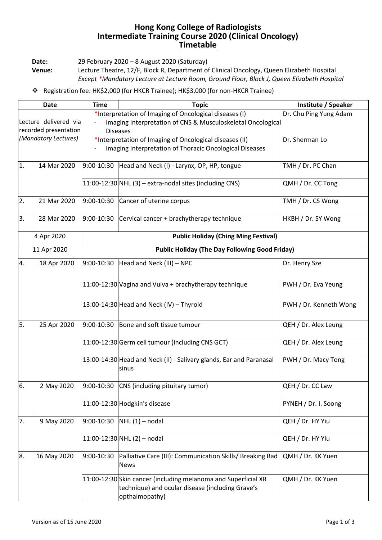## **Hong Kong College of Radiologists Intermediate Training Course 2020 (Clinical Oncology) Timetable**

**Date:** 29 February 2020 – 8 August 2020 (Saturday)

**Venue:** Lecture Theatre, 12/F, Block R, Department of Clinical Oncology, Queen Elizabeth Hospital *Except \*Mandatory Lecture at Lecture Room, Ground Floor, Block J, Queen Elizabeth Hospital*

## ❖ Registration fee: HK\$2,000 (for HKCR Trainee); HK\$3,000 (for non-HKCR Trainee)

| Date                                           |             | <b>Time</b>                                                                                                                                                        | <b>Topic</b>                                                                                                                         | Institute / Speaker    |  |  |
|------------------------------------------------|-------------|--------------------------------------------------------------------------------------------------------------------------------------------------------------------|--------------------------------------------------------------------------------------------------------------------------------------|------------------------|--|--|
| Lecture delivered via<br>recorded presentation |             | *Interpretation of Imaging of Oncological diseases (I)<br>Dr. Chu Ping Yung Adam<br>Imaging Interpretation of CNS & Musculoskeletal Oncological<br><b>Diseases</b> |                                                                                                                                      |                        |  |  |
| (Mandatory Lectures)                           |             |                                                                                                                                                                    | *Interpretation of Imaging of Oncological diseases (II)<br>Imaging Interpretation of Thoracic Oncological Diseases                   | Dr. Sherman Lo         |  |  |
| 1.                                             | 14 Mar 2020 | 9:00-10:30                                                                                                                                                         | Head and Neck (I) - Larynx, OP, HP, tongue                                                                                           | TMH / Dr. PC Chan      |  |  |
|                                                |             |                                                                                                                                                                    | $11:00-12:30$ NHL (3) – extra-nodal sites (including CNS)                                                                            | QMH / Dr. CC Tong      |  |  |
| $\overline{2}$ .                               | 21 Mar 2020 | 9:00-10:30                                                                                                                                                         | Cancer of uterine corpus                                                                                                             | TMH / Dr. CS Wong      |  |  |
| 3.                                             | 28 Mar 2020 | 9:00-10:30                                                                                                                                                         | Cervical cancer + brachytherapy technique                                                                                            | HKBH / Dr. SY Wong     |  |  |
|                                                | 4 Apr 2020  | <b>Public Holiday (Ching Ming Festival)</b>                                                                                                                        |                                                                                                                                      |                        |  |  |
| 11 Apr 2020                                    |             | <b>Public Holiday (The Day Following Good Friday)</b>                                                                                                              |                                                                                                                                      |                        |  |  |
| 4.                                             | 18 Apr 2020 | 9:00-10:30                                                                                                                                                         | Head and Neck (III) - NPC                                                                                                            | Dr. Henry Sze          |  |  |
|                                                |             |                                                                                                                                                                    | 11:00-12:30 Vagina and Vulva + brachytherapy technique                                                                               | PWH / Dr. Eva Yeung    |  |  |
|                                                |             |                                                                                                                                                                    | 13:00-14:30 Head and Neck (IV) - Thyroid                                                                                             | PWH / Dr. Kenneth Wong |  |  |
| 5.                                             | 25 Apr 2020 | 9:00-10:30                                                                                                                                                         | Bone and soft tissue tumour                                                                                                          | QEH / Dr. Alex Leung   |  |  |
|                                                |             |                                                                                                                                                                    | 11:00-12:30 Germ cell tumour (including CNS GCT)                                                                                     | QEH / Dr. Alex Leung   |  |  |
|                                                |             |                                                                                                                                                                    | 13:00-14:30 Head and Neck (II) - Salivary glands, Ear and Paranasal<br>sinus                                                         | PWH / Dr. Macy Tong    |  |  |
| 6.                                             | 2 May 2020  |                                                                                                                                                                    | $9:00-10:30$ CNS (including pituitary tumor)                                                                                         | QEH / Dr. CC Law       |  |  |
|                                                |             |                                                                                                                                                                    | 11:00-12:30 Hodgkin's disease                                                                                                        | PYNEH / Dr. I. Soong   |  |  |
| 7.                                             | 9 May 2020  | 9:00-10:30                                                                                                                                                         | $NHL(1)$ – nodal                                                                                                                     | QEH / Dr. HY Yiu       |  |  |
|                                                |             |                                                                                                                                                                    | 11:00-12:30 NHL (2) - nodal                                                                                                          | QEH / Dr. HY Yiu       |  |  |
| 8.                                             | 16 May 2020 | 9:00-10:30                                                                                                                                                         | Palliative Care (III): Communication Skills/ Breaking Bad<br><b>News</b>                                                             | QMH / Dr. KK Yuen      |  |  |
|                                                |             |                                                                                                                                                                    | 11:00-12:30 Skin cancer (including melanoma and Superficial XR<br>technique) and ocular disease (including Grave's<br>opthalmopathy) | QMH / Dr. KK Yuen      |  |  |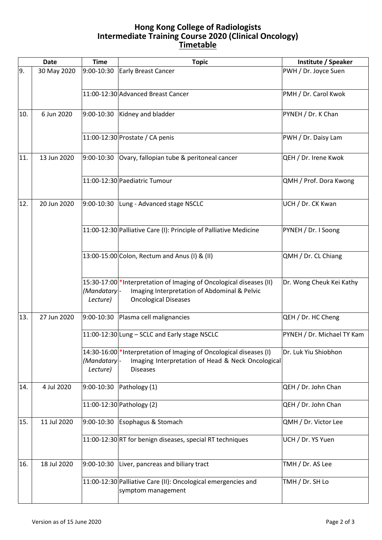## **Hong Kong College of Radiologists Intermediate Training Course 2020 (Clinical Oncology) Timetable**

| <b>Date</b> |             | <b>Time</b>             | <b>Topic</b>                                                                                                                                        | Institute / Speaker        |
|-------------|-------------|-------------------------|-----------------------------------------------------------------------------------------------------------------------------------------------------|----------------------------|
| 9.          | 30 May 2020 | 9:00-10:30              | <b>Early Breast Cancer</b>                                                                                                                          | PWH / Dr. Joyce Suen       |
|             |             |                         | 11:00-12:30 Advanced Breast Cancer                                                                                                                  | PMH / Dr. Carol Kwok       |
| 10.         | 6 Jun 2020  |                         | $9:00-10:30$ Kidney and bladder                                                                                                                     | PYNEH / Dr. K Chan         |
|             |             |                         | 11:00-12:30 Prostate / CA penis                                                                                                                     | PWH / Dr. Daisy Lam        |
| 11.         | 13 Jun 2020 | 9:00-10:30              | Ovary, fallopian tube & peritoneal cancer                                                                                                           | QEH / Dr. Irene Kwok       |
|             |             |                         | 11:00-12:30 Paediatric Tumour                                                                                                                       | QMH / Prof. Dora Kwong     |
| 12.         | 20 Jun 2020 |                         | 9:00-10:30 Lung - Advanced stage NSCLC                                                                                                              | UCH / Dr. CK Kwan          |
|             |             |                         | 11:00-12:30 Palliative Care (I): Principle of Palliative Medicine                                                                                   | PYNEH / Dr. I Soong        |
|             |             |                         | 13:00-15:00 Colon, Rectum and Anus (I) & (II)                                                                                                       | QMH / Dr. CL Chiang        |
|             |             | (Mandatary-<br>Lecture) | 15:30-17:00 * Interpretation of Imaging of Oncological diseases (II)<br>Imaging Interpretation of Abdominal & Pelvic<br><b>Oncological Diseases</b> | Dr. Wong Cheuk Kei Kathy   |
| 13.         | 27 Jun 2020 |                         | 9:00-10:30 Plasma cell malignancies                                                                                                                 | QEH / Dr. HC Cheng         |
|             |             |                         | 11:00-12:30 Lung - SCLC and Early stage NSCLC                                                                                                       | PYNEH / Dr. Michael TY Kam |
|             |             | (Mandatary-<br>Lecture) | 14:30-16:00 * Interpretation of Imaging of Oncological diseases (I)<br>Imaging Interpretation of Head & Neck Oncological<br><b>Diseases</b>         | Dr. Luk Yiu Shiobhon       |
| 14.         | 4 Jul 2020  | 9:00-10:30              | Pathology (1)                                                                                                                                       | QEH / Dr. John Chan        |
|             |             |                         | 11:00-12:30 Pathology (2)                                                                                                                           | QEH / Dr. John Chan        |
| 15.         | 11 Jul 2020 | 9:00-10:30              | Esophagus & Stomach                                                                                                                                 | QMH / Dr. Victor Lee       |
|             |             |                         | 11:00-12:30 RT for benign diseases, special RT techniques                                                                                           | UCH / Dr. YS Yuen          |
| 16.         | 18 Jul 2020 | 9:00-10:30              | Liver, pancreas and biliary tract                                                                                                                   | TMH / Dr. AS Lee           |
|             |             |                         | 11:00-12:30 Palliative Care (II): Oncological emergencies and<br>symptom management                                                                 | TMH / Dr. SH Lo            |